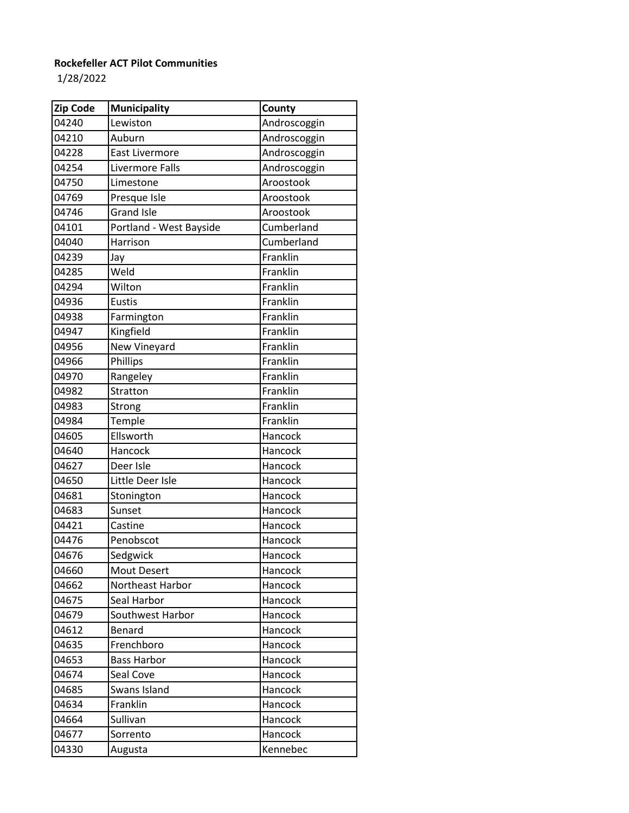## **Rockefeller ACT Pilot Communities**

1/28/2022

| Zip Code | <b>Municipality</b>     | County       |
|----------|-------------------------|--------------|
| 04240    | Lewiston                | Androscoggin |
| 04210    | Auburn                  | Androscoggin |
| 04228    | <b>East Livermore</b>   | Androscoggin |
| 04254    | Livermore Falls         | Androscoggin |
| 04750    | Limestone               | Aroostook    |
| 04769    | Presque Isle            | Aroostook    |
| 04746    | <b>Grand Isle</b>       | Aroostook    |
| 04101    | Portland - West Bayside | Cumberland   |
| 04040    | Harrison                | Cumberland   |
| 04239    | Jay                     | Franklin     |
| 04285    | Weld                    | Franklin     |
| 04294    | Wilton                  | Franklin     |
| 04936    | <b>Eustis</b>           | Franklin     |
| 04938    | Farmington              | Franklin     |
| 04947    | Kingfield               | Franklin     |
| 04956    | New Vineyard            | Franklin     |
| 04966    | Phillips                | Franklin     |
| 04970    | Rangeley                | Franklin     |
| 04982    | Stratton                | Franklin     |
| 04983    | Strong                  | Franklin     |
| 04984    | Temple                  | Franklin     |
| 04605    | Ellsworth               | Hancock      |
| 04640    | Hancock                 | Hancock      |
| 04627    | Deer Isle               | Hancock      |
| 04650    | Little Deer Isle        | Hancock      |
| 04681    | Stonington              | Hancock      |
| 04683    | Sunset                  | Hancock      |
| 04421    | Castine                 | Hancock      |
| 04476    | Penobscot               | Hancock      |
| 04676    | Sedgwick                | Hancock      |
| 04660    | <b>Mout Desert</b>      | Hancock      |
| 04662    | Northeast Harbor        | Hancock      |
| 04675    | Seal Harbor             | Hancock      |
| 04679    | Southwest Harbor        | Hancock      |
| 04612    | Benard                  | Hancock      |
| 04635    | Frenchboro              | Hancock      |
| 04653    | <b>Bass Harbor</b>      | Hancock      |
| 04674    | Seal Cove               | Hancock      |
| 04685    | Swans Island            | Hancock      |
| 04634    | Franklin                | Hancock      |
| 04664    | Sullivan                | Hancock      |
| 04677    | Sorrento                | Hancock      |
| 04330    | Augusta                 | Kennebec     |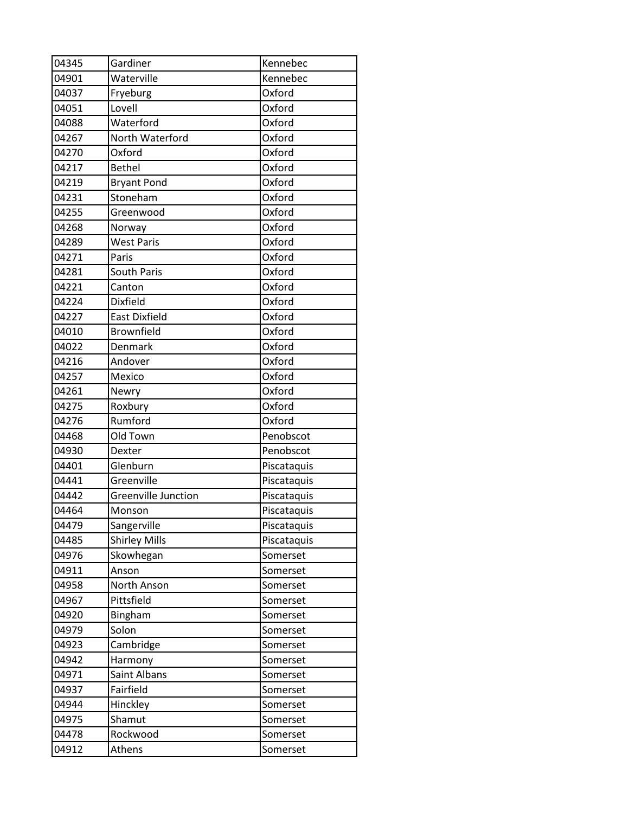| 04345 | Gardiner                   | Kennebec    |
|-------|----------------------------|-------------|
| 04901 | Waterville                 | Kennebec    |
| 04037 | Fryeburg                   | Oxford      |
| 04051 | Lovell                     | Oxford      |
| 04088 | Waterford                  | Oxford      |
| 04267 | North Waterford            | Oxford      |
| 04270 | Oxford                     | Oxford      |
| 04217 | <b>Bethel</b>              | Oxford      |
| 04219 | <b>Bryant Pond</b>         | Oxford      |
| 04231 | Stoneham                   | Oxford      |
| 04255 | Greenwood                  | Oxford      |
| 04268 | Norway                     | Oxford      |
| 04289 | <b>West Paris</b>          | Oxford      |
| 04271 | Paris                      | Oxford      |
| 04281 | South Paris                | Oxford      |
| 04221 | Canton                     | Oxford      |
| 04224 | Dixfield                   | Oxford      |
| 04227 | <b>East Dixfield</b>       | Oxford      |
| 04010 | <b>Brownfield</b>          | Oxford      |
| 04022 | Denmark                    | Oxford      |
| 04216 | Andover                    | Oxford      |
| 04257 | Mexico                     | Oxford      |
| 04261 | Newry                      | Oxford      |
| 04275 | Roxbury                    | Oxford      |
| 04276 | Rumford                    | Oxford      |
| 04468 | Old Town                   | Penobscot   |
| 04930 | Dexter                     | Penobscot   |
| 04401 | Glenburn                   | Piscataquis |
| 04441 | Greenville                 | Piscataquis |
| 04442 | <b>Greenville Junction</b> | Piscataquis |
| 04464 | Monson                     | Piscataquis |
| 04479 | Sangerville                | Piscataquis |
| 04485 | <b>Shirley Mills</b>       | Piscataquis |
| 04976 | Skowhegan                  | Somerset    |
| 04911 | Anson                      | Somerset    |
| 04958 | North Anson                | Somerset    |
| 04967 | Pittsfield                 | Somerset    |
| 04920 | Bingham                    | Somerset    |
| 04979 | Solon                      | Somerset    |
| 04923 | Cambridge                  | Somerset    |
| 04942 | Harmony                    | Somerset    |
| 04971 | Saint Albans               | Somerset    |
| 04937 | Fairfield                  | Somerset    |
| 04944 | Hinckley                   | Somerset    |
| 04975 | Shamut                     | Somerset    |
| 04478 | Rockwood                   | Somerset    |
| 04912 | Athens                     | Somerset    |